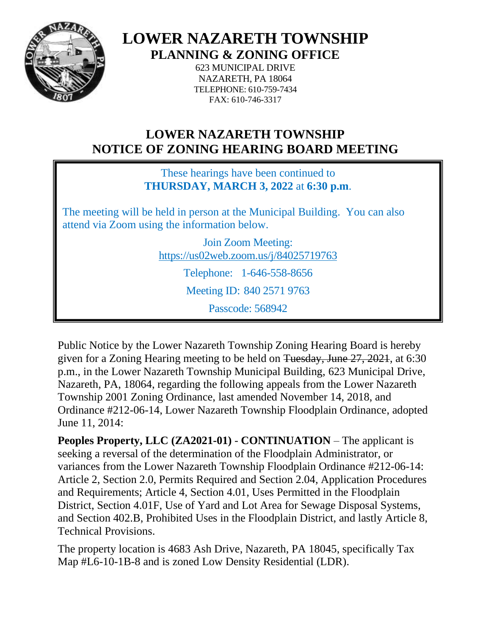

**LOWER NAZARETH TOWNSHIP**

**PLANNING & ZONING OFFICE**

623 MUNICIPAL DRIVE NAZARETH, PA 18064 TELEPHONE: 610-759-7434 FAX: 610-746-3317

## **LOWER NAZARETH TOWNSHIP NOTICE OF ZONING HEARING BOARD MEETING**

These hearings have been continued to **THURSDAY, MARCH 3, 2022** at **6:30 p.m**.

The meeting will be held in person at the Municipal Building. You can also attend via Zoom using the information below.

> Join Zoom Meeting: https://us02web.zoom.us/j/84025719763 Telephone: 1-646-558-8656 Meeting ID: 840 2571 9763 Passcode: 568942

Public Notice by the Lower Nazareth Township Zoning Hearing Board is hereby given for a Zoning Hearing meeting to be held on Tuesday, June 27, 2021, at 6:30 p.m., in the Lower Nazareth Township Municipal Building, 623 Municipal Drive, Nazareth, PA, 18064, regarding the following appeals from the Lower Nazareth Township 2001 Zoning Ordinance, last amended November 14, 2018, and Ordinance #212-06-14, Lower Nazareth Township Floodplain Ordinance, adopted June 11, 2014:

**Peoples Property, LLC (ZA2021-01)** - **CONTINUATION** – The applicant is seeking a reversal of the determination of the Floodplain Administrator, or variances from the Lower Nazareth Township Floodplain Ordinance #212-06-14: Article 2, Section 2.0, Permits Required and Section 2.04, Application Procedures and Requirements; Article 4, Section 4.01, Uses Permitted in the Floodplain District, Section 4.01F, Use of Yard and Lot Area for Sewage Disposal Systems, and Section 402.B, Prohibited Uses in the Floodplain District, and lastly Article 8, Technical Provisions.

The property location is 4683 Ash Drive, Nazareth, PA 18045, specifically Tax Map #L6-10-1B-8 and is zoned Low Density Residential (LDR).